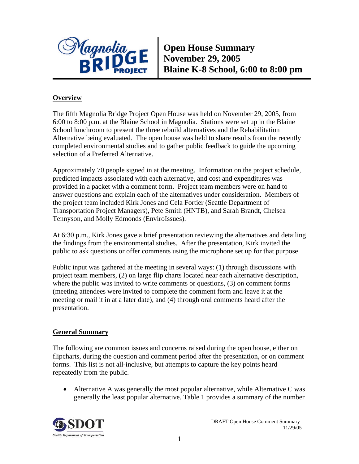

**Open House Summary November 29, 2005 Blaine K-8 School, 6:00 to 8:00 pm** 

### **Overview**

The fifth Magnolia Bridge Project Open House was held on November 29, 2005, from 6:00 to 8:00 p.m. at the Blaine School in Magnolia. Stations were set up in the Blaine School lunchroom to present the three rebuild alternatives and the Rehabilitation Alternative being evaluated. The open house was held to share results from the recently completed environmental studies and to gather public feedback to guide the upcoming selection of a Preferred Alternative.

Approximately 70 people signed in at the meeting. Information on the project schedule, predicted impacts associated with each alternative, and cost and expenditures was provided in a packet with a comment form. Project team members were on hand to answer questions and explain each of the alternatives under consideration. Members of the project team included Kirk Jones and Cela Fortier (Seattle Department of Transportation Project Managers), Pete Smith (HNTB), and Sarah Brandt, Chelsea Tennyson, and Molly Edmonds (EnviroIssues).

At 6:30 p.m., Kirk Jones gave a brief presentation reviewing the alternatives and detailing the findings from the environmental studies. After the presentation, Kirk invited the public to ask questions or offer comments using the microphone set up for that purpose.

Public input was gathered at the meeting in several ways: (1) through discussions with project team members, (2) on large flip charts located near each alternative description, where the public was invited to write comments or questions,  $(3)$  on comment forms (meeting attendees were invited to complete the comment form and leave it at the meeting or mail it in at a later date), and (4) through oral comments heard after the presentation.

#### **General Summary**

The following are common issues and concerns raised during the open house, either on flipcharts, during the question and comment period after the presentation, or on comment forms. This list is not all-inclusive, but attempts to capture the key points heard repeatedly from the public.

• Alternative A was generally the most popular alternative, while Alternative C was generally the least popular alternative. Table 1 provides a summary of the number

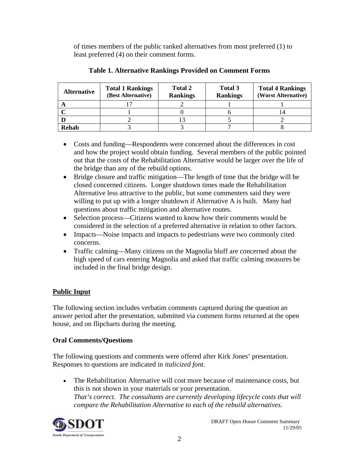of times members of the public ranked alternatives from most preferred (1) to least preferred (4) on their comment forms.

| <b>Alternative</b> | <b>Total 1 Rankings</b><br>(Best Alternative) | <b>Total 2</b><br><b>Rankings</b> | Total 3<br><b>Rankings</b> | <b>Total 4 Rankings</b><br>(Worst Alternative) |
|--------------------|-----------------------------------------------|-----------------------------------|----------------------------|------------------------------------------------|
|                    |                                               |                                   |                            |                                                |
|                    |                                               |                                   |                            | ـ ب                                            |
|                    |                                               |                                   |                            |                                                |
| Rehab              |                                               |                                   |                            |                                                |

#### **Table 1. Alternative Rankings Provided on Comment Forms**

- Costs and funding—Respondents were concerned about the differences in cost and how the project would obtain funding. Several members of the public pointed out that the costs of the Rehabilitation Alternative would be larger over the life of the bridge than any of the rebuild options.
- Bridge closure and traffic mitigation—The length of time that the bridge will be closed concerned citizens. Longer shutdown times made the Rehabilitation Alternative less attractive to the public, but some commenters said they were willing to put up with a longer shutdown if Alternative A is built. Many had questions about traffic mitigation and alternative routes.
- Selection process—Citizens wanted to know how their comments would be considered in the selection of a preferred alternative in relation to other factors.
- Impacts—Noise impacts and impacts to pedestrians were two commonly cited concerns.
- Traffic calming—Many citizens on the Magnolia bluff are concerned about the high speed of cars entering Magnolia and asked that traffic calming measures be included in the final bridge design.

# **Public Input**

The following section includes verbatim comments captured during the question an answer period after the presentation, submitted via comment forms returned at the open house, and on flipcharts during the meeting.

## **Oral Comments/Questions**

The following questions and comments were offered after Kirk Jones' presentation. Responses to questions are indicated in *italicized font*.

• The Rehabilitation Alternative will cost more because of maintenance costs, but this is not shown in your materials or your presentation. *That's correct. The consultants are currently developing lifecycle costs that will compare the Rehabilitation Alternative to each of the rebuild alternatives.* 

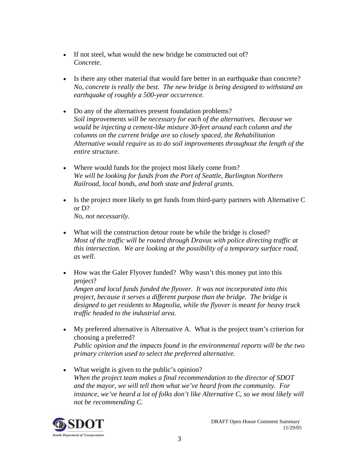- If not steel, what would the new bridge be constructed out of? *Concrete.*
- Is there any other material that would fare better in an earthquake than concrete? *No, concrete is really the best. The new bridge is being designed to withstand an earthquake of roughly a 500-year occurrence.*
- Do any of the alternatives present foundation problems? *Soil improvements will be necessary for each of the alternatives. Because we would be injecting a cement-like mixture 30-feet around each column and the columns on the current bridge are so closely spaced, the Rehabilitation Alternative would require us to do soil improvements throughout the length of the entire structure.*
- Where would funds for the project most likely come from? *We will be looking for funds from the Port of Seattle, Burlington Northern Railroad, local bonds, and both state and federal grants.*
- Is the project more likely to get funds from third-party partners with Alternative C or D? *No, not necessarily.*
- What will the construction detour route be while the bridge is closed? *Most of the traffic will be routed through Dravus with police directing traffic at this intersection. We are looking at the possibility of a temporary surface road, as well.*
- How was the Galer Flyover funded? Why wasn't this money put into this project?

*Amgen and local funds funded the flyover. It was not incorporated into this project, because it serves a different purpose than the bridge. The bridge is designed to get residents to Magnolia, while the flyover is meant for heavy truck traffic headed to the industrial area.* 

- My preferred alternative is Alternative A. What is the project team's criterion for choosing a preferred? *Public opinion and the impacts found in the environmental reports will be the two primary criterion used to select the preferred alternative.*
- What weight is given to the public's opinion? *When the project team makes a final recommendation to the director of SDOT and the mayor, we will tell them what we've heard from the community. For instance, we've heard a lot of folks don't like Alternative C, so we most likely will not be recommending C.*

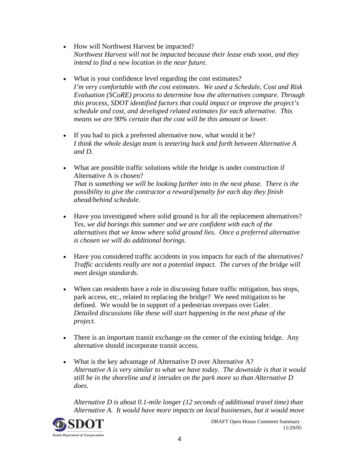- How will Northwest Harvest be impacted? *Northwest Harvest will not be impacted because their lease ends soon, and they intend to find a new location in the near future.*
- What is your confidence level regarding the cost estimates? *I'm very comfortable with the cost estimates. We used a Schedule, Cost and Risk Evaluation (SCoRE) process to determine how the alternatives compare. Through this process, SDOT identified factors that could impact or improve the project's schedule and cost, and developed related estimates for each alternative. This means we are 90% certain that the cost will be this amount or lower.*
- If you had to pick a preferred alternative now, what would it be? *I think the whole design team is teetering back and forth between Alternative A and D.*
- What are possible traffic solutions while the bridge is under construction if Alternative A is chosen? *That is something we will be looking further into in the next phase. There is the possibility to give the contractor a reward/penalty for each day they finish ahead/behind schedule.*
- Have you investigated where solid ground is for all the replacement alternatives? *Yes, we did borings this summer and we are confident with each of the alternatives that we know where solid ground lies. Once a preferred alternative is chosen we will do additional borings.*
- Have you considered traffic accidents in you impacts for each of the alternatives? *Traffic accidents really are not a potential impact. The curves of the bridge will meet design standards.*
- When can residents have a role in discussing future traffic mitigation, bus stops, park access, etc., related to replacing the bridge? We need mitigation to be defined. We would be in support of a pedestrian overpass over Galer. *Detailed discussions like these will start happening in the next phase of the project.*
- There is an important transit exchange on the center of the existing bridge. Any alternative should incorporate transit access.
- What is the key advantage of Alternative D over Alternative A? *Alternative A is very similar to what we have today. The downside is that it would still be in the shoreline and it intrudes on the park more so than Alternative D does.*

*Alternative D is about 0.1-mile longer (12 seconds of additional travel time) than Alternative A. It would have more impacts on local businesses, but it would move* 

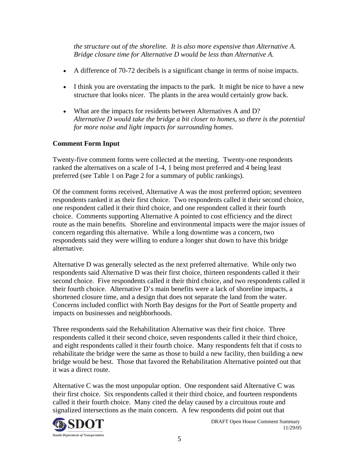*the structure out of the shoreline. It is also more expensive than Alternative A. Bridge closure time for Alternative D would be less than Alternative A.* 

- A difference of 70-72 decibels is a significant change in terms of noise impacts.
- I think you are overstating the impacts to the park. It might be nice to have a new structure that looks nicer. The plants in the area would certainly grow back.
- What are the impacts for residents between Alternatives A and D? *Alternative D would take the bridge a bit closer to homes, so there is the potential for more noise and light impacts for surrounding homes.*

### **Comment Form Input**

Twenty-five comment forms were collected at the meeting. Twenty-one respondents ranked the alternatives on a scale of 1-4, 1 being most preferred and 4 being least preferred (see Table 1 on Page 2 for a summary of public rankings).

Of the comment forms received, Alternative A was the most preferred option; seventeen respondents ranked it as their first choice. Two respondents called it their second choice, one respondent called it their third choice, and one respondent called it their fourth choice. Comments supporting Alternative A pointed to cost efficiency and the direct route as the main benefits. Shoreline and environmental impacts were the major issues of concern regarding this alternative. While a long downtime was a concern, two respondents said they were willing to endure a longer shut down to have this bridge alternative.

Alternative D was generally selected as the next preferred alternative. While only two respondents said Alternative D was their first choice, thirteen respondents called it their second choice. Five respondents called it their third choice, and two respondents called it their fourth choice. Alternative D's main benefits were a lack of shoreline impacts, a shortened closure time, and a design that does not separate the land from the water. Concerns included conflict with North Bay designs for the Port of Seattle property and impacts on businesses and neighborhoods.

Three respondents said the Rehabilitation Alternative was their first choice. Three respondents called it their second choice, seven respondents called it their third choice, and eight respondents called it their fourth choice. Many respondents felt that if costs to rehabilitate the bridge were the same as those to build a new facility, then building a new bridge would be best. Those that favored the Rehabilitation Alternative pointed out that it was a direct route.

Alternative C was the most unpopular option. One respondent said Alternative C was their first choice. Six respondents called it their third choice, and fourteen respondents called it their fourth choice. Many cited the delay caused by a circuitous route and signalized intersections as the main concern. A few respondents did point out that

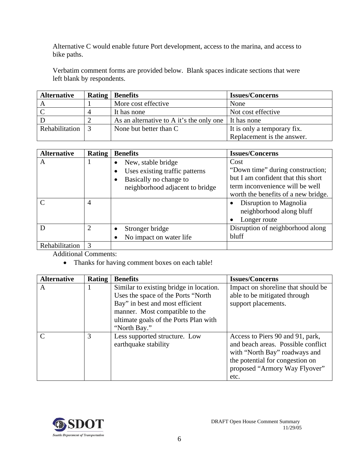Alternative C would enable future Port development, access to the marina, and access to bike paths.

Verbatim comment forms are provided below. Blank spaces indicate sections that were left blank by respondents.

| <b>Alternative</b> | <b>Rating   Benefits</b>                               | <b>Issues/Concerns</b>      |
|--------------------|--------------------------------------------------------|-----------------------------|
|                    | More cost effective                                    | None                        |
|                    | It has none                                            | Not cost effective          |
|                    | As an alternative to A it's the only one   It has none |                             |
| Rehabilitation     | None but better than C                                 | It is only a temporary fix. |
|                    |                                                        | Replacement is the answer.  |

| <b>Alternative</b> | <b>Rating</b>  | <b>Benefits</b>                                                                                                   | <b>Issues/Concerns</b>                                                                                                                                   |
|--------------------|----------------|-------------------------------------------------------------------------------------------------------------------|----------------------------------------------------------------------------------------------------------------------------------------------------------|
| A                  |                | New, stable bridge<br>Uses existing traffic patterns<br>Basically no change to<br>neighborhood adjacent to bridge | Cost<br>"Down time" during construction;<br>but I am confident that this short<br>term inconvenience will be well<br>worth the benefits of a new bridge. |
| $\curvearrowright$ | $\overline{4}$ |                                                                                                                   | Disruption to Magnolia<br>$\bullet$<br>neighborhood along bluff<br>Longer route                                                                          |
|                    | 2              | Stronger bridge<br>No impact on water life                                                                        | Disruption of neighborhood along<br>bluff                                                                                                                |
| Rehabilitation     | $\mathcal{R}$  |                                                                                                                   |                                                                                                                                                          |

Additional Comments:

• Thanks for having comment boxes on each table!

| <b>Alternative</b> | <b>Rating</b> | <b>Benefits</b>                         | <b>Issues/Concerns</b>             |
|--------------------|---------------|-----------------------------------------|------------------------------------|
| A                  |               | Similar to existing bridge in location. | Impact on shoreline that should be |
|                    |               | Uses the space of the Ports "North"     | able to be mitigated through       |
|                    |               | Bay" in best and most efficient         | support placements.                |
|                    |               | manner. Most compatible to the          |                                    |
|                    |               | ultimate goals of the Ports Plan with   |                                    |
|                    |               | "North Bay."                            |                                    |
| $\mathcal{C}$      | 3             | Less supported structure. Low           | Access to Piers 90 and 91, park,   |
|                    |               | earthquake stability                    | and beach areas. Possible conflict |
|                    |               |                                         | with "North Bay" roadways and      |
|                    |               |                                         | the potential for congestion on    |
|                    |               |                                         | proposed "Armory Way Flyover"      |
|                    |               |                                         | etc.                               |

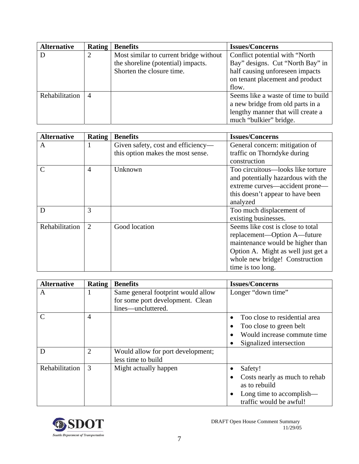| <b>Alternative</b> | <b>Rating</b> | <b>Benefits</b>                        | <b>Issues/Concerns</b>              |
|--------------------|---------------|----------------------------------------|-------------------------------------|
|                    | 2             | Most similar to current bridge without | Conflict potential with "North"     |
|                    |               | the shoreline (potential) impacts.     | Bay" designs. Cut "North Bay" in    |
|                    |               | Shorten the closure time.              | half causing unforeseen impacts     |
|                    |               |                                        | on tenant placement and product     |
|                    |               |                                        | flow.                               |
| Rehabilitation     | 4             |                                        | Seems like a waste of time to build |
|                    |               |                                        | a new bridge from old parts in a    |
|                    |               |                                        | lengthy manner that will create a   |
|                    |               |                                        | much "bulkier" bridge.              |

| <b>Alternative</b> | <b>Rating</b>  | <b>Benefits</b>                    | <b>Issues/Concerns</b>             |
|--------------------|----------------|------------------------------------|------------------------------------|
| A                  | 1              | Given safety, cost and efficiency- | General concern: mitigation of     |
|                    |                | this option makes the most sense.  | traffic on Thorndyke during        |
|                    |                |                                    | construction                       |
| $\mathcal{C}$      | $\overline{4}$ | Unknown                            | Too circuitous—looks like torture  |
|                    |                |                                    | and potentially hazardous with the |
|                    |                |                                    | extreme curves—accident prone—     |
|                    |                |                                    | this doesn't appear to have been   |
|                    |                |                                    | analyzed                           |
| D                  | 3              |                                    | Too much displacement of           |
|                    |                |                                    | existing businesses.               |
| Rehabilitation     | $\overline{2}$ | Good location                      | Seems like cost is close to total  |
|                    |                |                                    | replacement—Option A—future        |
|                    |                |                                    | maintenance would be higher than   |
|                    |                |                                    | Option A. Might as well just get a |
|                    |                |                                    | whole new bridge! Construction     |
|                    |                |                                    | time is too long.                  |

| <b>Alternative</b> | Rating         | <b>Benefits</b>                                                                              | <b>Issues/Concerns</b>                                                                                             |
|--------------------|----------------|----------------------------------------------------------------------------------------------|--------------------------------------------------------------------------------------------------------------------|
| A                  | 1              | Same general footprint would allow<br>for some port development. Clean<br>lines—uncluttered. | Longer "down time"                                                                                                 |
| C                  | $\overline{4}$ |                                                                                              | Too close to residential area<br>Too close to green belt<br>Would increase commute time<br>Signalized intersection |
| D                  | $\overline{2}$ | Would allow for port development;<br>less time to build                                      |                                                                                                                    |
| Rehabilitation     | 3              | Might actually happen                                                                        | Safety!<br>Costs nearly as much to rehab<br>as to rebuild<br>Long time to accomplish—<br>traffic would be awful!   |

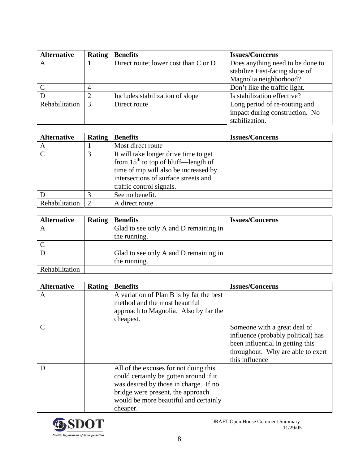| <b>Alternative</b> | <b>Rating</b> | <b>Benefits</b>                      | <b>Issues/Concerns</b>           |
|--------------------|---------------|--------------------------------------|----------------------------------|
| А                  |               | Direct route; lower cost than C or D | Does anything need to be done to |
|                    |               |                                      | stabilize East-facing slope of   |
|                    |               |                                      | Magnolia neighborhood?           |
|                    |               |                                      | Don't like the traffic light.    |
|                    |               | Includes stabilization of slope      | Is stabilization effective?      |
| Rehabilitation     | 3             | Direct route                         | Long period of re-routing and    |
|                    |               |                                      | impact during construction. No   |
|                    |               |                                      | stabilization.                   |

| <b>Alternative</b> | <b>Rating</b> | <b>Benefits</b>                                                                                            | <b>Issues/Concerns</b> |
|--------------------|---------------|------------------------------------------------------------------------------------------------------------|------------------------|
| A                  |               | Most direct route                                                                                          |                        |
| $\Gamma$           |               | It will take longer drive time to get<br>from $15th$ to top of bluff—length of                             |                        |
|                    |               | time of trip will also be increased by<br>intersections of surface streets and<br>traffic control signals. |                        |
|                    |               | See no benefit.                                                                                            |                        |
| Rehabilitation     |               | A direct route                                                                                             |                        |

| <b>Alternative</b> | <b>Rating</b> | <b>Benefits</b>                       | <b>Issues/Concerns</b> |
|--------------------|---------------|---------------------------------------|------------------------|
|                    |               | Glad to see only A and D remaining in |                        |
|                    |               | the running.                          |                        |
|                    |               |                                       |                        |
|                    |               | Glad to see only A and D remaining in |                        |
|                    |               | the running.                          |                        |
| Rehabilitation     |               |                                       |                        |

| <b>Alternative</b> | Rating | <b>Benefits</b>                                                                                                                                                                                                    | <b>Issues/Concerns</b>                                                                                                                                        |
|--------------------|--------|--------------------------------------------------------------------------------------------------------------------------------------------------------------------------------------------------------------------|---------------------------------------------------------------------------------------------------------------------------------------------------------------|
| A                  |        | A variation of Plan B is by far the best<br>method and the most beautiful                                                                                                                                          |                                                                                                                                                               |
|                    |        | approach to Magnolia. Also by far the<br>cheapest.                                                                                                                                                                 |                                                                                                                                                               |
| C                  |        |                                                                                                                                                                                                                    | Someone with a great deal of<br>influence (probably political) has<br>been influential in getting this<br>throughout. Why are able to exert<br>this influence |
| D                  |        | All of the excuses for not doing this<br>could certainly be gotten around if it<br>was desired by those in charge. If no<br>bridge were present, the approach<br>would be more beautiful and certainly<br>cheaper. |                                                                                                                                                               |

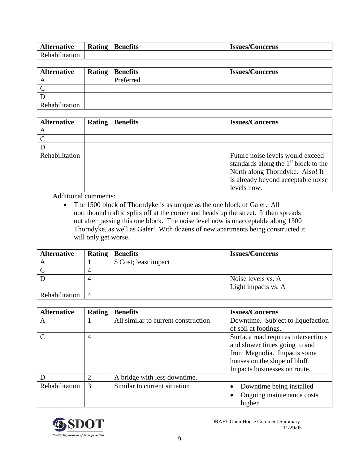| <b>Alternative</b> | T.<br><b>Kating</b> | <b>Benefits</b> | Concerns<br>1001100<br>1954C5/ |
|--------------------|---------------------|-----------------|--------------------------------|
| Rehabilitation     |                     |                 |                                |

| <b>Alternative</b> | <b>Rating   Benefits</b> | <b>Issues/Concerns</b> |
|--------------------|--------------------------|------------------------|
|                    | Preferred                |                        |
|                    |                          |                        |
|                    |                          |                        |
| Rehabilitation     |                          |                        |

| <b>Alternative</b> | Rating | <b>Benefits</b> | <b>Issues/Concerns</b>                                                                                                                                             |
|--------------------|--------|-----------------|--------------------------------------------------------------------------------------------------------------------------------------------------------------------|
| А                  |        |                 |                                                                                                                                                                    |
|                    |        |                 |                                                                                                                                                                    |
|                    |        |                 |                                                                                                                                                                    |
| Rehabilitation     |        |                 | Future noise levels would exceed<br>standards along the $1st$ block to the<br>North along Thorndyke. Also! It<br>is already beyond acceptable noise<br>levels now. |

Additional comments:

• The 1500 block of Thorndyke is as unique as the one block of Galer. All northbound traffic splits off at the corner and heads up the street. It then spreads out after passing this one block. The noise level now is unacceptable along 1500 Thorndyke, as well as Galer! With dozens of new apartments being constructed it will only get worse.

| <b>Alternative</b> | <b>Rating   Benefits</b> | <b>Issues/Concerns</b> |
|--------------------|--------------------------|------------------------|
|                    | \$ Cost; least impact    |                        |
|                    |                          |                        |
|                    |                          | Noise levels vs. A     |
|                    |                          | Light impacts vs. A    |
| Rehabilitation     |                          |                        |

| <b>Alternative</b> | <b>Rating</b> | <b>Benefits</b>                     | <b>Issues/Concerns</b>              |
|--------------------|---------------|-------------------------------------|-------------------------------------|
| A                  |               | All similar to current construction | Downtime. Subject to liquefaction   |
|                    |               |                                     | of soil at footings.                |
|                    | 4             |                                     | Surface road requires intersections |
|                    |               |                                     | and slower times going to and       |
|                    |               |                                     | from Magnolia. Impacts some         |
|                    |               |                                     | houses on the slope of bluff.       |
|                    |               |                                     | Impacts businesses on route.        |
|                    | 2             | A bridge with less downtime.        |                                     |
| Rehabilitation     | 3             | Similar to current situation        | Downtime being installed            |
|                    |               |                                     | Ongoing maintenance costs           |
|                    |               |                                     | higher                              |

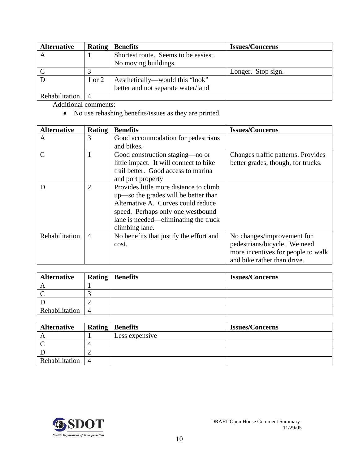| <b>Alternative</b> |        | <b>Rating   Benefits</b>             | <b>Issues/Concerns</b> |
|--------------------|--------|--------------------------------------|------------------------|
|                    |        | Shortest route. Seems to be easiest. |                        |
|                    |        | No moving buildings.                 |                        |
|                    |        |                                      | Longer. Stop sign.     |
|                    | 1 or 2 | Aesthetically—would this "look"      |                        |
|                    |        | better and not separate water/land   |                        |
| Rehabilitation     |        |                                      |                        |

Additional comments:

• No use rehashing benefits/issues as they are printed.

| <b>Alternative</b> | Rating         | <b>Benefits</b>                         | <b>Issues/Concerns</b>             |
|--------------------|----------------|-----------------------------------------|------------------------------------|
| A                  | 3              | Good accommodation for pedestrians      |                                    |
|                    |                | and bikes.                              |                                    |
| $\mathcal{C}$      |                | Good construction staging—no or         | Changes traffic patterns. Provides |
|                    |                | little impact. It will connect to bike  | better grades, though, for trucks. |
|                    |                | trail better. Good access to marina     |                                    |
|                    |                | and port property                       |                                    |
| D                  | $\overline{2}$ | Provides little more distance to climb  |                                    |
|                    |                | up—so the grades will be better than    |                                    |
|                    |                | Alternative A. Curves could reduce      |                                    |
|                    |                | speed. Perhaps only one westbound       |                                    |
|                    |                | lane is needed—eliminating the truck    |                                    |
|                    |                | climbing lane.                          |                                    |
| Rehabilitation     | $\overline{4}$ | No benefits that justify the effort and | No changes/improvement for         |
|                    |                | cost.                                   | pedestrians/bicycle. We need       |
|                    |                |                                         | more incentives for people to walk |
|                    |                |                                         | and bike rather than drive.        |

| <b>Alternative</b> | <b>Rating   Benefits</b> | <b>Issues/Concerns</b> |
|--------------------|--------------------------|------------------------|
|                    |                          |                        |
|                    |                          |                        |
|                    |                          |                        |
| Rehabilitation     |                          |                        |

| <b>Alternative</b> |   | <b>Rating   Benefits</b> | <b>Issues/Concerns</b> |
|--------------------|---|--------------------------|------------------------|
|                    |   | Less expensive           |                        |
|                    |   |                          |                        |
|                    |   |                          |                        |
| Rehabilitation     | 4 |                          |                        |

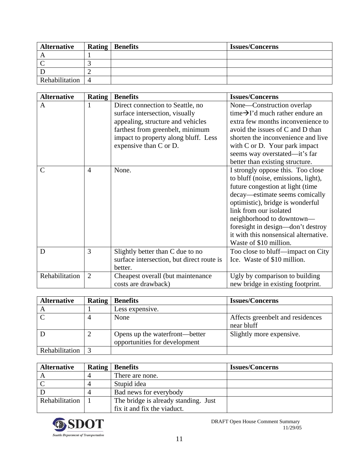| <b>Alternative</b> |                | <b>Rating   Benefits</b> | <b>Issues/Concerns</b> |
|--------------------|----------------|--------------------------|------------------------|
|                    |                |                          |                        |
|                    |                |                          |                        |
|                    |                |                          |                        |
| Rehabilitation     | $\overline{4}$ |                          |                        |

| <b>Alternative</b> | <b>Rating</b>  | <b>Benefits</b>                           | <b>Issues/Concerns</b>                       |
|--------------------|----------------|-------------------------------------------|----------------------------------------------|
| A                  | 1              | Direct connection to Seattle, no          | None-Construction overlap                    |
|                    |                | surface intersection, visually            | time $\rightarrow$ I'd much rather endure an |
|                    |                | appealing, structure and vehicles         | extra few months inconvenience to            |
|                    |                | farthest from greenbelt, minimum          | avoid the issues of C and D than             |
|                    |                | impact to property along bluff. Less      | shorten the inconvenience and live           |
|                    |                | expensive than C or D.                    | with $C$ or $D$ . Your park impact           |
|                    |                |                                           | seems way overstated—it's far                |
|                    |                |                                           | better than existing structure.              |
| $\mathcal{C}$      | $\overline{4}$ | None.                                     | I strongly oppose this. Too close            |
|                    |                |                                           | to bluff (noise, emissions, light),          |
|                    |                |                                           | future congestion at light (time             |
|                    |                |                                           | decay—estimate seems comically               |
|                    |                |                                           | optimistic), bridge is wonderful             |
|                    |                |                                           | link from our isolated                       |
|                    |                |                                           | neighborhood to downtown—                    |
|                    |                |                                           | foresight in design-don't destroy            |
|                    |                |                                           | it with this nonsensical alternative.        |
|                    |                |                                           | Waste of \$10 million.                       |
| D                  | 3              | Slightly better than C due to no          | Too close to bluff—impact on City            |
|                    |                | surface intersection, but direct route is | Ice. Waste of \$10 million.                  |
|                    |                | better.                                   |                                              |
| Rehabilitation     | $\overline{2}$ | Cheapest overall (but maintenance         | Ugly by comparison to building               |
|                    |                | costs are drawback)                       | new bridge in existing footprint.            |

| <b>Alternative</b> | <b>Rating</b> | <b>Benefits</b>                                                 | <b>Issues/Concerns</b>                         |
|--------------------|---------------|-----------------------------------------------------------------|------------------------------------------------|
|                    |               | Less expensive.                                                 |                                                |
|                    |               | None                                                            | Affects greenbelt and residences<br>near bluff |
|                    |               | Opens up the waterfront—better<br>opportunities for development | Slightly more expensive.                       |
| Rehabilitation     |               |                                                                 |                                                |

| <b>Alternative</b> | <b>Rating   Benefits</b>             | <b>Issues/Concerns</b> |
|--------------------|--------------------------------------|------------------------|
|                    | There are none.                      |                        |
|                    | Stupid idea                          |                        |
|                    | Bad news for everybody               |                        |
| Rehabilitation     | The bridge is already standing. Just |                        |
|                    | fix it and fix the viaduct.          |                        |

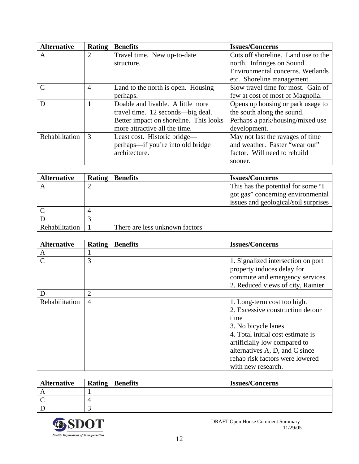| <b>Alternative</b> | <b>Rating</b>  | <b>Benefits</b>                        | <b>Issues/Concerns</b>              |
|--------------------|----------------|----------------------------------------|-------------------------------------|
| A                  | $\overline{2}$ | Travel time. New up-to-date            | Cuts off shoreline. Land use to the |
|                    |                | structure.                             | north. Infringes on Sound.          |
|                    |                |                                        | Environmental concerns. Wetlands    |
|                    |                |                                        | etc. Shoreline management.          |
| $\mathsf{C}$       | $\overline{4}$ | Land to the north is open. Housing     | Slow travel time for most. Gain of  |
|                    |                | perhaps.                               | few at cost of most of Magnolia.    |
| D                  |                | Doable and livable. A little more      | Opens up housing or park usage to   |
|                    |                | travel time. 12 seconds—big deal.      | the south along the sound.          |
|                    |                | Better impact on shoreline. This looks | Perhaps a park/housing/mixed use    |
|                    |                | more attractive all the time.          | development.                        |
| Rehabilitation     | 3              | Least cost. Historic bridge—           | May not last the ravages of time    |
|                    |                | perhaps—if you're into old bridge      | and weather. Faster "wear out"      |
|                    |                | architecture.                          | factor. Will need to rebuild        |
|                    |                |                                        | sooner.                             |

| <b>Alternative</b> | <b>Rating</b> | <b>Benefits</b>                | <b>Issues/Concerns</b>               |
|--------------------|---------------|--------------------------------|--------------------------------------|
|                    |               |                                | This has the potential for some "I   |
|                    |               |                                | got gas" concerning environmental    |
|                    |               |                                | issues and geological/soil surprises |
|                    |               |                                |                                      |
|                    |               |                                |                                      |
| Rehabilitation     |               | There are less unknown factors |                                      |

| <b>Alternative</b> | <b>Rating</b>  | <b>Benefits</b> | <b>Issues/Concerns</b>                                                                                                                                                                                                                                         |
|--------------------|----------------|-----------------|----------------------------------------------------------------------------------------------------------------------------------------------------------------------------------------------------------------------------------------------------------------|
| A                  |                |                 |                                                                                                                                                                                                                                                                |
| $\mathsf{C}$       | 3              |                 | 1. Signalized intersection on port<br>property induces delay for<br>commute and emergency services.<br>2. Reduced views of city, Rainier                                                                                                                       |
| D                  | $\overline{2}$ |                 |                                                                                                                                                                                                                                                                |
| Rehabilitation     | $\overline{4}$ |                 | 1. Long-term cost too high.<br>2. Excessive construction detour<br>time<br>3. No bicycle lanes<br>4. Total initial cost estimate is<br>artificially low compared to<br>alternatives A, D, and C since<br>rehab risk factors were lowered<br>with new research. |

| <b>Alternative</b> | <b>Rating   Benefits</b> | <b>Issues/Concerns</b> |
|--------------------|--------------------------|------------------------|
|                    |                          |                        |
|                    |                          |                        |
|                    |                          |                        |

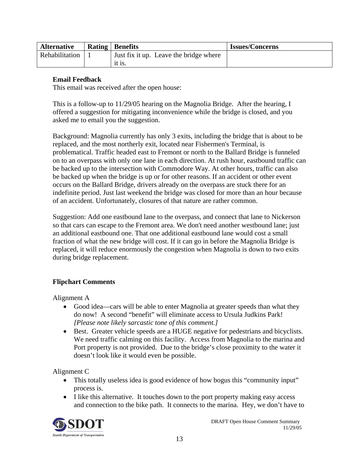| <b>Alternative</b> | <b>Rating   Benefits</b>               | <b>Issues/Concerns</b> |
|--------------------|----------------------------------------|------------------------|
| Rehabilitation     | Just fix it up. Leave the bridge where |                        |
|                    | it is.                                 |                        |

### **Email Feedback**

This email was received after the open house:

This is a follow-up to 11/29/05 hearing on the Magnolia Bridge. After the hearing, I offered a suggestion for mitigating inconvenience while the bridge is closed, and you asked me to email you the suggestion.

Background: Magnolia currently has only 3 exits, including the bridge that is about to be replaced, and the most northerly exit, located near Fishermen's Terminal, is problematical. Traffic headed east to Fremont or north to the Ballard Bridge is funneled on to an overpass with only one lane in each direction. At rush hour, eastbound traffic can be backed up to the intersection with Commodore Way. At other hours, traffic can also be backed up when the bridge is up or for other reasons. If an accident or other event occurs on the Ballard Bridge, drivers already on the overpass are stuck there for an indefinite period. Just last weekend the bridge was closed for more than an hour because of an accident. Unfortunately, closures of that nature are rather common.

Suggestion: Add one eastbound lane to the overpass, and connect that lane to Nickerson so that cars can escape to the Fremont area. We don't need another westbound lane; just an additional eastbound one. That one additional eastbound lane would cost a small fraction of what the new bridge will cost. If it can go in before the Magnolia Bridge is replaced, it will reduce enormously the congestion when Magnolia is down to two exits during bridge replacement.

#### **Flipchart Comments**

Alignment A

- Good idea—cars will be able to enter Magnolia at greater speeds than what they do now! A second "benefit" will eliminate access to Ursula Judkins Park! *[Please note likely sarcastic tone of this comment.]*
- Best. Greater vehicle speeds are a HUGE negative for pedestrians and bicyclists. We need traffic calming on this facility. Access from Magnolia to the marina and Port property is not provided. Due to the bridge's close proximity to the water it doesn't look like it would even be possible.

Alignment C

- This totally useless idea is good evidence of how bogus this "community input" process is.
- I like this alternative. It touches down to the port property making easy access and connection to the bike path. It connects to the marina. Hey, we don't have to